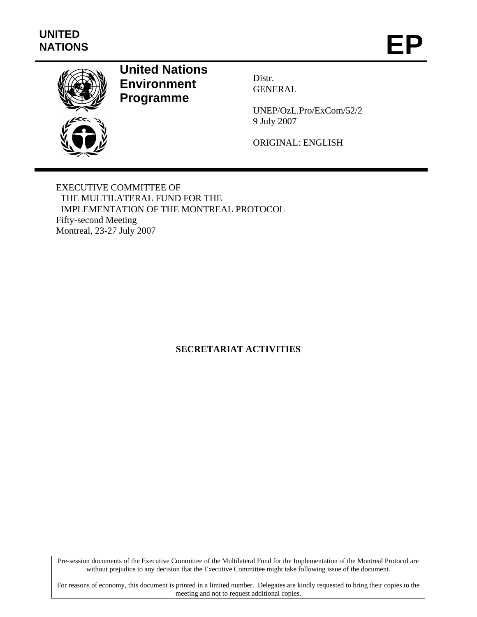

# **United Nations Environment Programme**

Distr. GENERAL

UNEP/OzL.Pro/ExCom/52/2 9 July 2007

ORIGINAL: ENGLISH

EXECUTIVE COMMITTEE OF THE MULTILATERAL FUND FOR THE IMPLEMENTATION OF THE MONTREAL PROTOCOL Fifty-second Meeting Montreal, 23-27 July 2007

# **SECRETARIAT ACTIVITIES**

Pre-session documents of the Executive Committee of the Multilateral Fund for the Implementation of the Montreal Protocol are without prejudice to any decision that the Executive Committee might take following issue of the document.

For reasons of economy, this document is printed in a limited number. Delegates are kindly requested to bring their copies to the meeting and not to request additional copies.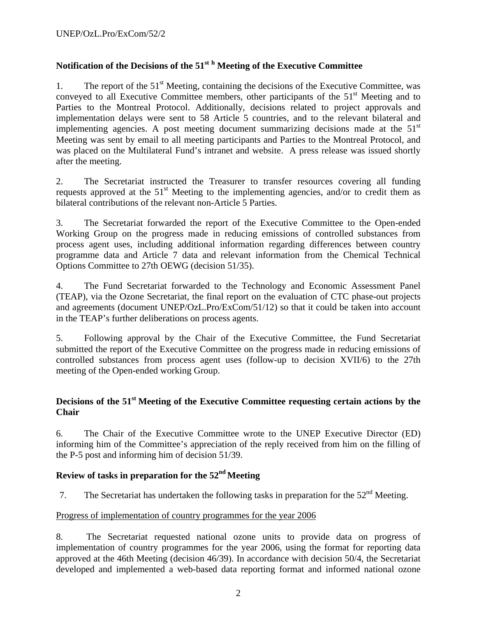# **Notification of the Decisions of the 51st <sup>h</sup> Meeting of the Executive Committee**

1. The report of the  $51<sup>st</sup>$  Meeting, containing the decisions of the Executive Committee, was conveyed to all Executive Committee members, other participants of the  $51<sup>st</sup>$  Meeting and to Parties to the Montreal Protocol. Additionally, decisions related to project approvals and implementation delays were sent to 58 Article 5 countries, and to the relevant bilateral and implementing agencies. A post meeting document summarizing decisions made at the  $51<sup>st</sup>$ Meeting was sent by email to all meeting participants and Parties to the Montreal Protocol, and was placed on the Multilateral Fund's intranet and website. A press release was issued shortly after the meeting.

2. The Secretariat instructed the Treasurer to transfer resources covering all funding requests approved at the  $51<sup>st</sup>$  Meeting to the implementing agencies, and/or to credit them as bilateral contributions of the relevant non-Article 5 Parties.

3. The Secretariat forwarded the report of the Executive Committee to the Open-ended Working Group on the progress made in reducing emissions of controlled substances from process agent uses, including additional information regarding differences between country programme data and Article 7 data and relevant information from the Chemical Technical Options Committee to 27th OEWG (decision 51/35).

4. The Fund Secretariat forwarded to the Technology and Economic Assessment Panel (TEAP), via the Ozone Secretariat, the final report on the evaluation of CTC phase-out projects and agreements (document UNEP/OzL.Pro/ExCom/51/12) so that it could be taken into account in the TEAP's further deliberations on process agents.

5. Following approval by the Chair of the Executive Committee, the Fund Secretariat submitted the report of the Executive Committee on the progress made in reducing emissions of controlled substances from process agent uses (follow-up to decision XVII/6) to the 27th meeting of the Open-ended working Group.

## **Decisions of the 51st Meeting of the Executive Committee requesting certain actions by the Chair**

6. The Chair of the Executive Committee wrote to the UNEP Executive Director (ED) informing him of the Committee's appreciation of the reply received from him on the filling of the P-5 post and informing him of decision 51/39.

# **Review of tasks in preparation for the 52nd Meeting**

7. The Secretariat has undertaken the following tasks in preparation for the  $52<sup>nd</sup>$  Meeting.

## Progress of implementation of country programmes for the year 2006

8. The Secretariat requested national ozone units to provide data on progress of implementation of country programmes for the year 2006, using the format for reporting data approved at the 46th Meeting (decision 46/39). In accordance with decision 50/4, the Secretariat developed and implemented a web-based data reporting format and informed national ozone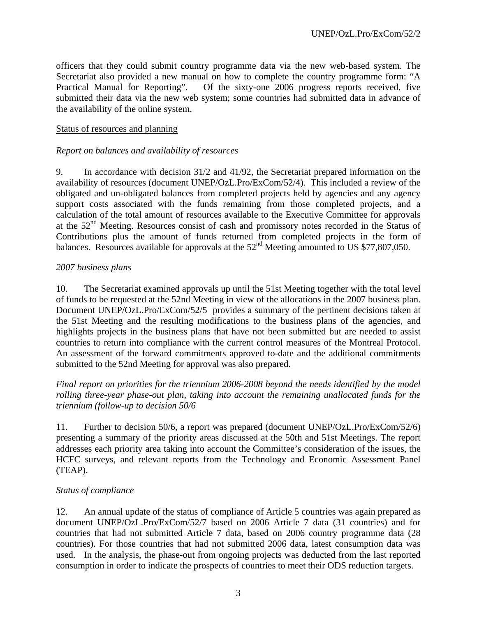officers that they could submit country programme data via the new web-based system. The Secretariat also provided a new manual on how to complete the country programme form: "A Practical Manual for Reporting". Of the sixty-one 2006 progress reports received, five submitted their data via the new web system; some countries had submitted data in advance of the availability of the online system.

#### Status of resources and planning

### *Report on balances and availability of resources*

9. In accordance with decision 31/2 and 41/92, the Secretariat prepared information on the availability of resources (document UNEP/OzL.Pro/ExCom/52/4). This included a review of the obligated and un-obligated balances from completed projects held by agencies and any agency support costs associated with the funds remaining from those completed projects, and a calculation of the total amount of resources available to the Executive Committee for approvals at the 52nd Meeting. Resources consist of cash and promissory notes recorded in the Status of Contributions plus the amount of funds returned from completed projects in the form of balances. Resources available for approvals at the  $52<sup>nd</sup>$  Meeting amounted to US \$77,807,050.

#### *2007 business plans*

10. The Secretariat examined approvals up until the 51st Meeting together with the total level of funds to be requested at the 52nd Meeting in view of the allocations in the 2007 business plan. Document UNEP/OzL.Pro/ExCom/52/5 provides a summary of the pertinent decisions taken at the 51st Meeting and the resulting modifications to the business plans of the agencies, and highlights projects in the business plans that have not been submitted but are needed to assist countries to return into compliance with the current control measures of the Montreal Protocol. An assessment of the forward commitments approved to-date and the additional commitments submitted to the 52nd Meeting for approval was also prepared.

*Final report on priorities for the triennium 2006-2008 beyond the needs identified by the model rolling three-year phase-out plan, taking into account the remaining unallocated funds for the triennium (follow-up to decision 50/6* 

11. Further to decision 50/6, a report was prepared (document UNEP/OzL.Pro/ExCom/52/6) presenting a summary of the priority areas discussed at the 50th and 51st Meetings. The report addresses each priority area taking into account the Committee's consideration of the issues, the HCFC surveys, and relevant reports from the Technology and Economic Assessment Panel (TEAP).

#### *Status of compliance*

12. An annual update of the status of compliance of Article 5 countries was again prepared as document UNEP/OzL.Pro/ExCom/52/7 based on 2006 Article 7 data (31 countries) and for countries that had not submitted Article 7 data, based on 2006 country programme data (28 countries). For those countries that had not submitted 2006 data, latest consumption data was used. In the analysis, the phase-out from ongoing projects was deducted from the last reported consumption in order to indicate the prospects of countries to meet their ODS reduction targets.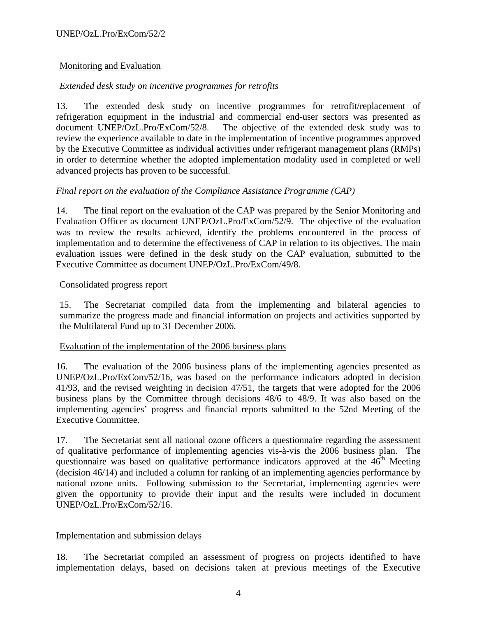## Monitoring and Evaluation

## *Extended desk study on incentive programmes for retrofits*

13. The extended desk study on incentive programmes for retrofit/replacement of refrigeration equipment in the industrial and commercial end-user sectors was presented as document UNEP/OzL.Pro/ExCom/52/8. The objective of the extended desk study was to review the experience available to date in the implementation of incentive programmes approved by the Executive Committee as individual activities under refrigerant management plans (RMPs) in order to determine whether the adopted implementation modality used in completed or well advanced projects has proven to be successful.

## *Final report on the evaluation of the Compliance Assistance Programme (CAP)*

14. The final report on the evaluation of the CAP was prepared by the Senior Monitoring and Evaluation Officer as document UNEP/OzL.Pro/ExCom/52/9. The objective of the evaluation was to review the results achieved, identify the problems encountered in the process of implementation and to determine the effectiveness of CAP in relation to its objectives. The main evaluation issues were defined in the desk study on the CAP evaluation, submitted to the Executive Committee as document UNEP/OzL.Pro/ExCom/49/8.

#### Consolidated progress report

15. The Secretariat compiled data from the implementing and bilateral agencies to summarize the progress made and financial information on projects and activities supported by the Multilateral Fund up to 31 December 2006.

#### Evaluation of the implementation of the 2006 business plans

16. The evaluation of the 2006 business plans of the implementing agencies presented as UNEP/OzL.Pro/ExCom/52/16, was based on the performance indicators adopted in decision 41/93, and the revised weighting in decision 47/51, the targets that were adopted for the 2006 business plans by the Committee through decisions 48/6 to 48/9. It was also based on the implementing agencies' progress and financial reports submitted to the 52nd Meeting of the Executive Committee.

17. The Secretariat sent all national ozone officers a questionnaire regarding the assessment of qualitative performance of implementing agencies vis-à-vis the 2006 business plan. The questionnaire was based on qualitative performance indicators approved at the  $46<sup>th</sup>$  Meeting (decision 46/14) and included a column for ranking of an implementing agencies performance by national ozone units. Following submission to the Secretariat, implementing agencies were given the opportunity to provide their input and the results were included in document UNEP/OzL.Pro/ExCom/52/16.

#### Implementation and submission delays

18. The Secretariat compiled an assessment of progress on projects identified to have implementation delays, based on decisions taken at previous meetings of the Executive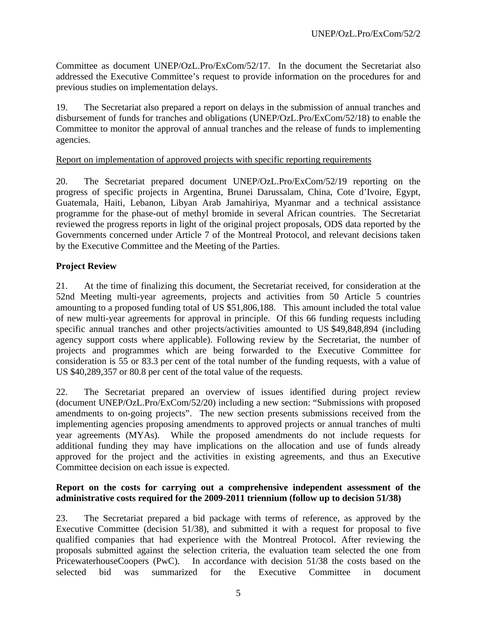Committee as document UNEP/OzL.Pro/ExCom/52/17. In the document the Secretariat also addressed the Executive Committee's request to provide information on the procedures for and previous studies on implementation delays.

19. The Secretariat also prepared a report on delays in the submission of annual tranches and disbursement of funds for tranches and obligations (UNEP/OzL.Pro/ExCom/52/18) to enable the Committee to monitor the approval of annual tranches and the release of funds to implementing agencies.

## Report on implementation of approved projects with specific reporting requirements

20. The Secretariat prepared document UNEP/OzL.Pro/ExCom/52/19 reporting on the progress of specific projects in Argentina, Brunei Darussalam, China, Cote d'Ivoire, Egypt, Guatemala, Haiti, Lebanon, Libyan Arab Jamahiriya, Myanmar and a technical assistance programme for the phase-out of methyl bromide in several African countries. The Secretariat reviewed the progress reports in light of the original project proposals, ODS data reported by the Governments concerned under Article 7 of the Montreal Protocol, and relevant decisions taken by the Executive Committee and the Meeting of the Parties.

## **Project Review**

21. At the time of finalizing this document, the Secretariat received, for consideration at the 52nd Meeting multi-year agreements, projects and activities from 50 Article 5 countries amounting to a proposed funding total of US \$51,806,188. This amount included the total value of new multi-year agreements for approval in principle. Of this 66 funding requests including specific annual tranches and other projects/activities amounted to US \$49,848,894 (including agency support costs where applicable). Following review by the Secretariat, the number of projects and programmes which are being forwarded to the Executive Committee for consideration is 55 or 83.3 per cent of the total number of the funding requests, with a value of US \$40,289,357 or 80.8 per cent of the total value of the requests.

22. The Secretariat prepared an overview of issues identified during project review (document UNEP/OzL.Pro/ExCom/52/20) including a new section: "Submissions with proposed amendments to on-going projects". The new section presents submissions received from the implementing agencies proposing amendments to approved projects or annual tranches of multi year agreements (MYAs). While the proposed amendments do not include requests for additional funding they may have implications on the allocation and use of funds already approved for the project and the activities in existing agreements, and thus an Executive Committee decision on each issue is expected.

#### **Report on the costs for carrying out a comprehensive independent assessment of the administrative costs required for the 2009-2011 triennium (follow up to decision 51/38)**

23. The Secretariat prepared a bid package with terms of reference, as approved by the Executive Committee (decision 51/38), and submitted it with a request for proposal to five qualified companies that had experience with the Montreal Protocol. After reviewing the proposals submitted against the selection criteria, the evaluation team selected the one from PricewaterhouseCoopers (PwC). In accordance with decision 51/38 the costs based on the selected bid was summarized for the Executive Committee in document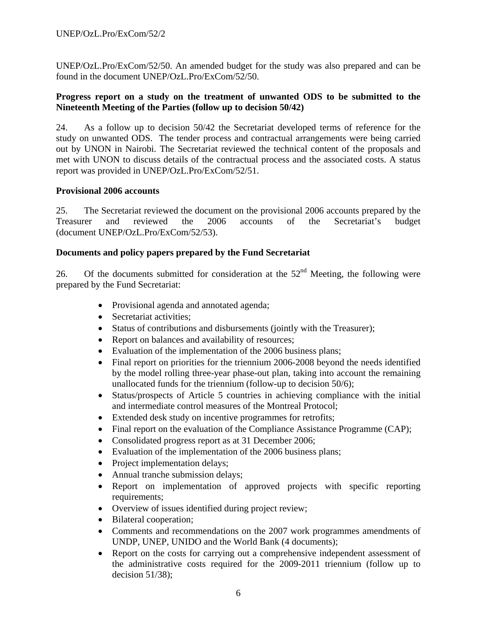UNEP/OzL.Pro/ExCom/52/50. An amended budget for the study was also prepared and can be found in the document UNEP/OzL.Pro/ExCom/52/50.

## **Progress report on a study on the treatment of unwanted ODS to be submitted to the Nineteenth Meeting of the Parties (follow up to decision 50/42)**

24. As a follow up to decision 50/42 the Secretariat developed terms of reference for the study on unwanted ODS. The tender process and contractual arrangements were being carried out by UNON in Nairobi. The Secretariat reviewed the technical content of the proposals and met with UNON to discuss details of the contractual process and the associated costs. A status report was provided in UNEP/OzL.Pro/ExCom/52/51.

## **Provisional 2006 accounts**

25. The Secretariat reviewed the document on the provisional 2006 accounts prepared by the Treasurer and reviewed the 2006 accounts of the Secretariat's budget (document UNEP/OzL.Pro/ExCom/52/53).

## **Documents and policy papers prepared by the Fund Secretariat**

26. Of the documents submitted for consideration at the  $52<sup>nd</sup>$  Meeting, the following were prepared by the Fund Secretariat:

- Provisional agenda and annotated agenda;
- Secretariat activities:
- Status of contributions and disbursements (jointly with the Treasurer);
- Report on balances and availability of resources;
- Evaluation of the implementation of the 2006 business plans;
- Final report on priorities for the triennium 2006-2008 beyond the needs identified by the model rolling three-year phase-out plan, taking into account the remaining unallocated funds for the triennium (follow-up to decision 50/6);
- Status/prospects of Article 5 countries in achieving compliance with the initial and intermediate control measures of the Montreal Protocol;
- Extended desk study on incentive programmes for retrofits;
- Final report on the evaluation of the Compliance Assistance Programme (CAP);
- Consolidated progress report as at 31 December 2006;
- Evaluation of the implementation of the 2006 business plans;
- Project implementation delays;
- Annual tranche submission delays;
- Report on implementation of approved projects with specific reporting requirements;
- Overview of issues identified during project review;
- Bilateral cooperation;
- Comments and recommendations on the 2007 work programmes amendments of UNDP, UNEP, UNIDO and the World Bank (4 documents);
- Report on the costs for carrying out a comprehensive independent assessment of the administrative costs required for the 2009-2011 triennium (follow up to decision  $51/38$ ;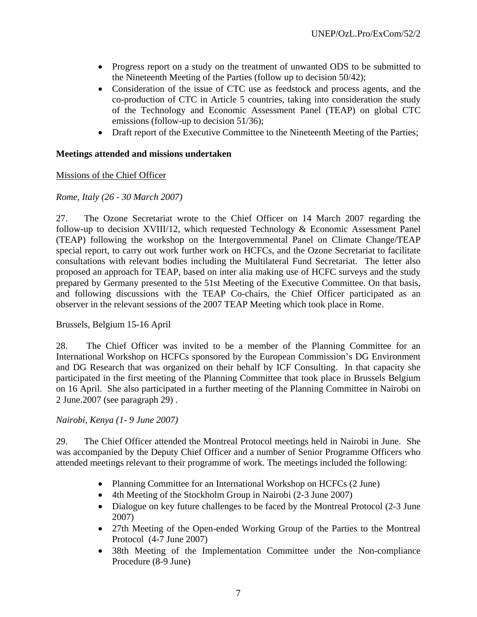- Progress report on a study on the treatment of unwanted ODS to be submitted to the Nineteenth Meeting of the Parties (follow up to decision 50/42);
- Consideration of the issue of CTC use as feedstock and process agents, and the co-production of CTC in Article 5 countries, taking into consideration the study of the Technology and Economic Assessment Panel (TEAP) on global CTC emissions (follow-up to decision 51/36);
- Draft report of the Executive Committee to the Nineteenth Meeting of the Parties;

## **Meetings attended and missions undertaken**

## Missions of the Chief Officer

## *Rome, Italy (26 - 30 March 2007)*

27. The Ozone Secretariat wrote to the Chief Officer on 14 March 2007 regarding the follow-up to decision XVIII/12, which requested Technology & Economic Assessment Panel (TEAP) following the workshop on the Intergovernmental Panel on Climate Change/TEAP special report, to carry out work further work on HCFCs, and the Ozone Secretariat to facilitate consultations with relevant bodies including the Multilateral Fund Secretariat. The letter also proposed an approach for TEAP, based on inter alia making use of HCFC surveys and the study prepared by Germany presented to the 51st Meeting of the Executive Committee. On that basis, and following discussions with the TEAP Co-chairs, the Chief Officer participated as an observer in the relevant sessions of the 2007 TEAP Meeting which took place in Rome.

#### Brussels, Belgium 15-16 April

28. The Chief Officer was invited to be a member of the Planning Committee for an International Workshop on HCFCs sponsored by the European Commission's DG Environment and DG Research that was organized on their behalf by ICF Consulting. In that capacity she participated in the first meeting of the Planning Committee that took place in Brussels Belgium on 16 April. She also participated in a further meeting of the Planning Committee in Nairobi on 2 June.2007 (see paragraph 29) .

#### *Nairobi, Kenya (1- 9 June 2007)*

29. The Chief Officer attended the Montreal Protocol meetings held in Nairobi in June. She was accompanied by the Deputy Chief Officer and a number of Senior Programme Officers who attended meetings relevant to their programme of work. The meetings included the following:

- Planning Committee for an International Workshop on HCFCs (2 June)
- 4th Meeting of the Stockholm Group in Nairobi (2-3 June 2007)
- Dialogue on key future challenges to be faced by the Montreal Protocol (2-3 June) 2007)
- 27th Meeting of the Open-ended Working Group of the Parties to the Montreal Protocol (4-7 June 2007)
- 38th Meeting of the Implementation Committee under the Non-compliance Procedure (8-9 June)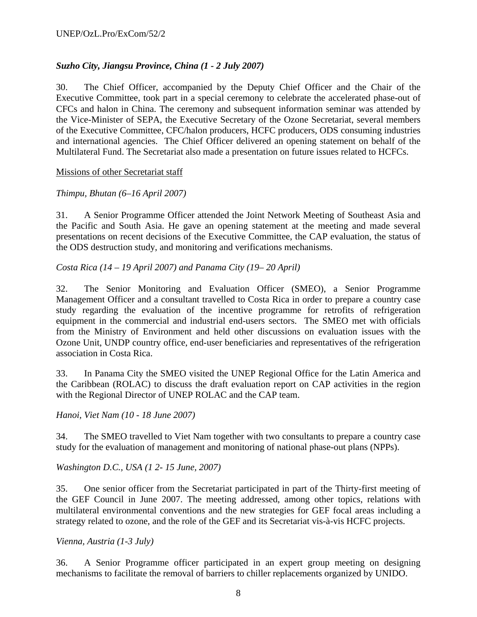# *Suzho City, Jiangsu Province, China (1 - 2 July 2007)*

30. The Chief Officer, accompanied by the Deputy Chief Officer and the Chair of the Executive Committee, took part in a special ceremony to celebrate the accelerated phase-out of CFCs and halon in China. The ceremony and subsequent information seminar was attended by the Vice-Minister of SEPA, the Executive Secretary of the Ozone Secretariat, several members of the Executive Committee, CFC/halon producers, HCFC producers, ODS consuming industries and international agencies. The Chief Officer delivered an opening statement on behalf of the Multilateral Fund. The Secretariat also made a presentation on future issues related to HCFCs.

#### Missions of other Secretariat staff

#### *Thimpu, Bhutan (6–16 April 2007)*

31. A Senior Programme Officer attended the Joint Network Meeting of Southeast Asia and the Pacific and South Asia. He gave an opening statement at the meeting and made several presentations on recent decisions of the Executive Committee, the CAP evaluation, the status of the ODS destruction study, and monitoring and verifications mechanisms.

*Costa Rica (14 – 19 April 2007) and Panama City (19– 20 April)* 

32. The Senior Monitoring and Evaluation Officer (SMEO), a Senior Programme Management Officer and a consultant travelled to Costa Rica in order to prepare a country case study regarding the evaluation of the incentive programme for retrofits of refrigeration equipment in the commercial and industrial end-users sectors. The SMEO met with officials from the Ministry of Environment and held other discussions on evaluation issues with the Ozone Unit, UNDP country office, end-user beneficiaries and representatives of the refrigeration association in Costa Rica.

33. In Panama City the SMEO visited the UNEP Regional Office for the Latin America and the Caribbean (ROLAC) to discuss the draft evaluation report on CAP activities in the region with the Regional Director of UNEP ROLAC and the CAP team.

*Hanoi, Viet Nam (10 - 18 June 2007)* 

34. The SMEO travelled to Viet Nam together with two consultants to prepare a country case study for the evaluation of management and monitoring of national phase-out plans (NPPs).

*Washington D.C., USA (1 2- 15 June, 2007)* 

35. One senior officer from the Secretariat participated in part of the Thirty-first meeting of the GEF Council in June 2007. The meeting addressed, among other topics, relations with multilateral environmental conventions and the new strategies for GEF focal areas including a strategy related to ozone, and the role of the GEF and its Secretariat vis-à-vis HCFC projects.

*Vienna, Austria (1-3 July)* 

36. A Senior Programme officer participated in an expert group meeting on designing mechanisms to facilitate the removal of barriers to chiller replacements organized by UNIDO.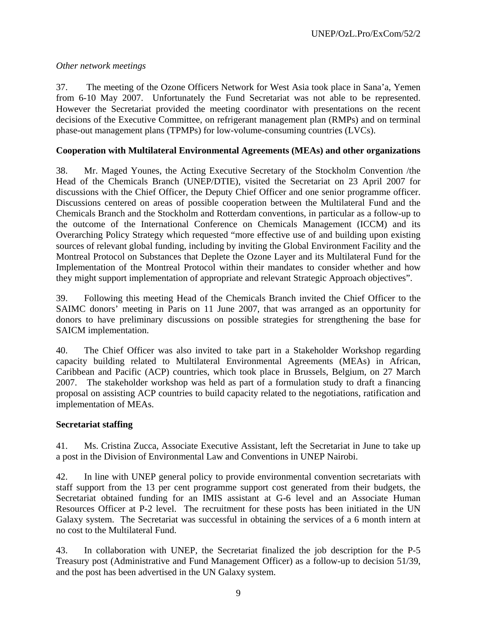## *Other network meetings*

37. The meeting of the Ozone Officers Network for West Asia took place in Sana'a, Yemen from 6-10 May 2007. Unfortunately the Fund Secretariat was not able to be represented. However the Secretariat provided the meeting coordinator with presentations on the recent decisions of the Executive Committee, on refrigerant management plan (RMPs) and on terminal phase-out management plans (TPMPs) for low-volume-consuming countries (LVCs).

## **Cooperation with Multilateral Environmental Agreements (MEAs) and other organizations**

38. Mr. Maged Younes, the Acting Executive Secretary of the Stockholm Convention /the Head of the Chemicals Branch (UNEP/DTIE), visited the Secretariat on 23 April 2007 for discussions with the Chief Officer, the Deputy Chief Officer and one senior programme officer. Discussions centered on areas of possible cooperation between the Multilateral Fund and the Chemicals Branch and the Stockholm and Rotterdam conventions, in particular as a follow-up to the outcome of the International Conference on Chemicals Management (ICCM) and its Overarching Policy Strategy which requested "more effective use of and building upon existing sources of relevant global funding, including by inviting the Global Environment Facility and the Montreal Protocol on Substances that Deplete the Ozone Layer and its Multilateral Fund for the Implementation of the Montreal Protocol within their mandates to consider whether and how they might support implementation of appropriate and relevant Strategic Approach objectives".

39. Following this meeting Head of the Chemicals Branch invited the Chief Officer to the SAIMC donors' meeting in Paris on 11 June 2007, that was arranged as an opportunity for donors to have preliminary discussions on possible strategies for strengthening the base for SAICM implementation.

40. The Chief Officer was also invited to take part in a Stakeholder Workshop regarding capacity building related to Multilateral Environmental Agreements (MEAs) in African, Caribbean and Pacific (ACP) countries, which took place in Brussels, Belgium, on 27 March 2007. The stakeholder workshop was held as part of a formulation study to draft a financing proposal on assisting ACP countries to build capacity related to the negotiations, ratification and implementation of MEAs.

## **Secretariat staffing**

41. Ms. Cristina Zucca, Associate Executive Assistant, left the Secretariat in June to take up a post in the Division of Environmental Law and Conventions in UNEP Nairobi.

42. In line with UNEP general policy to provide environmental convention secretariats with staff support from the 13 per cent programme support cost generated from their budgets, the Secretariat obtained funding for an IMIS assistant at G-6 level and an Associate Human Resources Officer at P-2 level. The recruitment for these posts has been initiated in the UN Galaxy system. The Secretariat was successful in obtaining the services of a 6 month intern at no cost to the Multilateral Fund.

43. In collaboration with UNEP, the Secretariat finalized the job description for the P-5 Treasury post (Administrative and Fund Management Officer) as a follow-up to decision 51/39, and the post has been advertised in the UN Galaxy system.